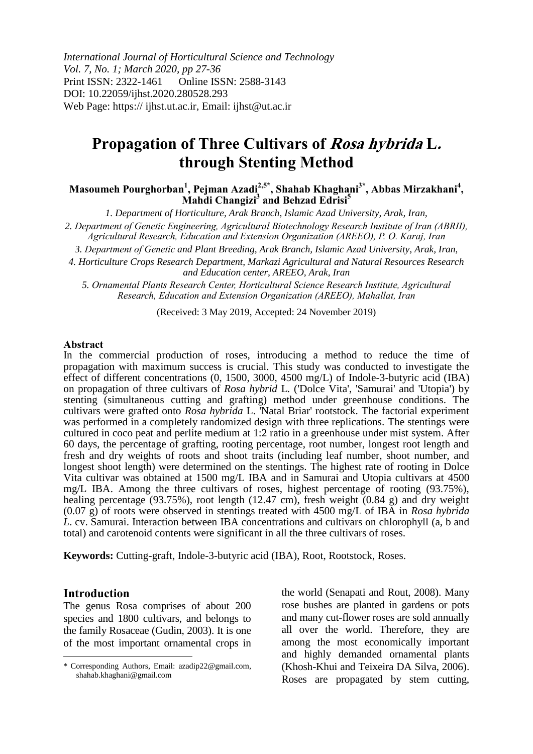*International Journal of Horticultural Science and Technology Vol. 7, No. 1; March 2020, pp 27-36* Print ISSN: 2322-1461 Online ISSN: 2588-3143 DOI: 10.22059/ijhst.2020.280528.293 Web Page: https:// ijhst.ut.ac.ir, Email: ijhst@ut.ac.ir

# **Propagation of Three Cultivars of Rosa hybrida L. through Stenting Method**

**Masoumeh Pourghorban<sup>1</sup> , Pejman Azadi2,5\* , Shahab Khaghani3\*, Abbas Mirzakhani<sup>4</sup> , Mahdi Changizi<sup>3</sup> and Behzad Edrisi<sup>5</sup>**

*1. Department of Horticulture, Arak Branch, Islamic Azad University, Arak, Iran,* 

*2. Department of Genetic Engineering, Agricultural Biotechnology Research Institute of Iran (ABRII), Agricultural Research, Education and Extension Organization (AREEO), P. O. Karaj, Iran*

*3. Department of Genetic and Plant Breeding, Arak Branch, Islamic Azad University, Arak, Iran,* 

*4. Horticulture Crops Research Department, Markazi Agricultural and Natural Resources Research and Education center, AREEO, Arak, Iran*

*5. Ornamental Plants Research Center, Horticultural Science Research Institute, Agricultural Research, Education and Extension Organization (AREEO), Mahallat, Iran*

(Received: 3 May 2019, Accepted: 24 November 2019)

#### **Abstract**

In the commercial production of roses, introducing a method to reduce the time of propagation with maximum success is crucial. This study was conducted to investigate the effect of different concentrations (0, 1500, 3000, 4500 mg/L) of Indole-3-butyric acid (IBA) on propagation of three cultivars of *Rosa hybrid* L*.* ('Dolce Vita', 'Samurai' and 'Utopia') by stenting (simultaneous cutting and grafting) method under greenhouse conditions. The cultivars were grafted onto *Rosa hybrida* L. 'Natal Briar' rootstock. The factorial experiment was performed in a completely randomized design with three replications. The stentings were cultured in coco peat and perlite medium at 1:2 ratio in a greenhouse under mist system. After 60 days, the percentage of grafting, rooting percentage, root number, longest root length and fresh and dry weights of roots and shoot traits (including leaf number, shoot number, and longest shoot length) were determined on the stentings. The highest rate of rooting in Dolce Vita cultivar was obtained at 1500 mg/L IBA and in Samurai and Utopia cultivars at 4500 mg/L IBA. Among the three cultivars of roses, highest percentage of rooting (93.75%), healing percentage (93.75%), root length (12.47 cm), fresh weight (0.84 g) and dry weight (0.07 g) of roots were observed in stentings treated with 4500 mg/L of IBA in *Rosa hybrida L*. cv. Samurai. Interaction between IBA concentrations and cultivars on chlorophyll (a, b and total) and carotenoid contents were significant in all the three cultivars of roses.

**Keywords:** Cutting-graft, Indole-3-butyric acid (IBA), Root, Rootstock, Roses.

#### **Introduction**

 $\overline{a}$ 

The genus Rosa comprises of about 200 species and 1800 cultivars, and belongs to the family Rosaceae (Gudin, 2003). It is one of the most important ornamental crops in the world (Senapati and Rout, 2008). Many rose bushes are planted in gardens or pots and many cut-flower roses are sold annually all over the world. Therefore, they are among the most economically important and highly demanded ornamental plants (Khosh-Khui and Teixeira DA Silva, 2006). Roses are propagated by stem cutting,

<sup>\*</sup> Corresponding Authors, Email: azadip22@gmail.com, shahab.khaghani@gmail.com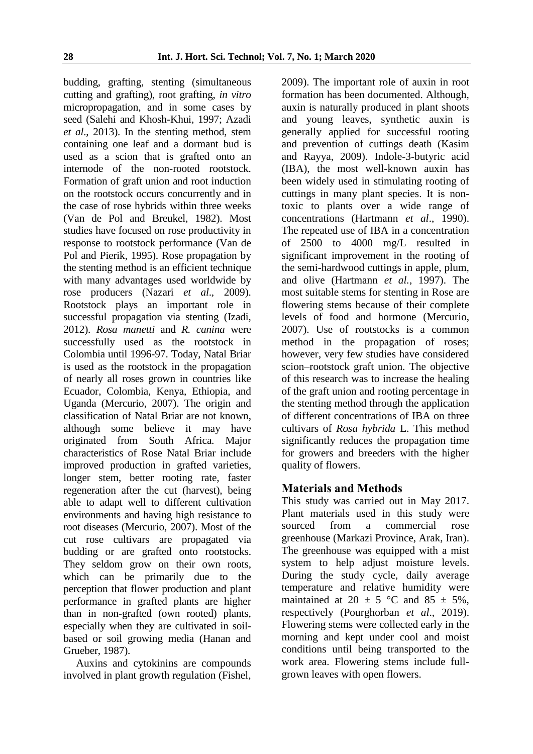budding, grafting, stenting (simultaneous cutting and grafting), root grafting, *in vitro* micropropagation, and in some cases by seed (Salehi and Khosh-Khui, 1997; Azadi *et al*., 2013). In the stenting method, stem containing one leaf and a dormant bud is used as a scion that is grafted onto an internode of the non-rooted rootstock. Formation of graft union and root induction on the rootstock occurs concurrently and in the case of rose hybrids within three weeks (Van de Pol and Breukel, 1982). Most studies have focused on rose productivity in response to rootstock performance (Van de Pol and Pierik, 1995). Rose propagation by the stenting method is an efficient technique with many advantages used worldwide by rose producers (Nazari *et al*., 2009). Rootstock plays an important role in successful propagation via stenting (Izadi, 2012). *Rosa manetti* and *R. canina* were successfully used as the rootstock in Colombia until 1996-97. Today, Natal Briar is used as the rootstock in the propagation of nearly all roses grown in countries like Ecuador, Colombia, Kenya, Ethiopia, and Uganda (Mercurio, 2007). The origin and classification of Natal Briar are not known, although some believe it may have originated from South Africa. Major characteristics of Rose Natal Briar include improved production in grafted varieties, longer stem, better rooting rate, faster regeneration after the cut (harvest), being able to adapt well to different cultivation environments and having high resistance to root diseases (Mercurio, 2007). Most of the cut rose cultivars are propagated via budding or are grafted onto rootstocks. They seldom grow on their own roots, which can be primarily due to the perception that flower production and plant performance in grafted plants are higher than in non-grafted (own rooted) plants, especially when they are cultivated in soilbased or soil growing media (Hanan and Grueber, 1987).

Auxins and cytokinins are compounds involved in plant growth regulation (Fishel, 2009). The important role of auxin in root formation has been documented. Although, auxin is naturally produced in plant shoots and young leaves, synthetic auxin is generally applied for successful rooting and prevention of cuttings death (Kasim and Rayya, 2009). Indole-3-butyric acid (IBA), the most well-known auxin has been widely used in stimulating rooting of cuttings in many plant species. It is nontoxic to plants over a wide range of concentrations (Hartmann *et al*., 1990). The repeated use of IBA in a concentration of 2500 to 4000 mg/L resulted in significant improvement in the rooting of the semi-hardwood cuttings in apple, plum, and olive (Hartmann *et al.*, 1997). The most suitable stems for stenting in Rose are flowering stems because of their complete levels of food and hormone (Mercurio, 2007). Use of rootstocks is a common method in the propagation of roses; however, very few studies have considered scion–rootstock graft union. The objective of this research was to increase the healing of the graft union and rooting percentage in the stenting method through the application of different concentrations of IBA on three cultivars of *Rosa hybrida* L. This method significantly reduces the propagation time for growers and breeders with the higher quality of flowers.

# **Materials and Methods**

This study was carried out in May 2017. Plant materials used in this study were sourced from a commercial rose greenhouse (Markazi Province, Arak, Iran). The greenhouse was equipped with a mist system to help adjust moisture levels. During the study cycle, daily average temperature and relative humidity were maintained at 20  $\pm$  5 °C and 85  $\pm$  5%, respectively (Pourghorban *et al*., 2019). Flowering stems were collected early in the morning and kept under cool and moist conditions until being transported to the work area. Flowering stems include fullgrown leaves with open flowers.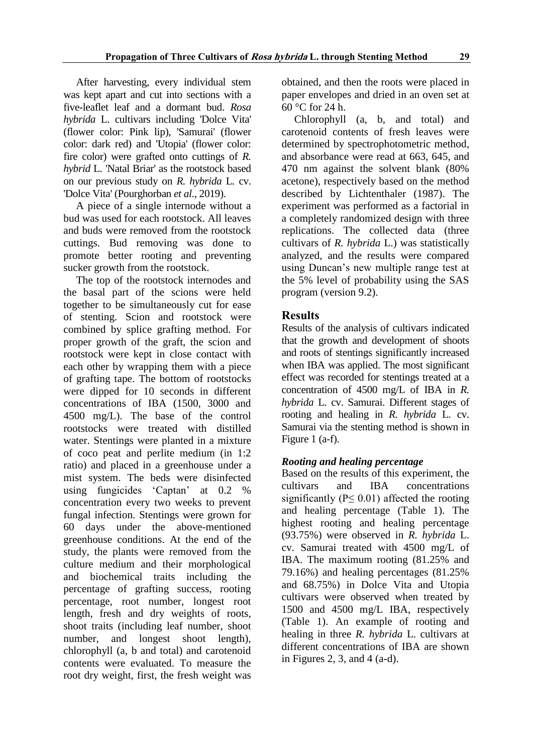After harvesting, every individual stem was kept apart and cut into sections with a five-leaflet leaf and a dormant bud. *Rosa hybrida* L. cultivars including 'Dolce Vita' (flower color: Pink lip), 'Samurai' (flower color: dark red) and 'Utopia' (flower color: fire color) were grafted onto cuttings of *R. hybrid* L. 'Natal Briar' as the rootstock based on our previous study on *R. hybrida* L*.* cv. 'Dolce Vita' (Pourghorban *et al*., 2019).

A piece of a single internode without a bud was used for each rootstock. All leaves and buds were removed from the rootstock cuttings. Bud removing was done to promote better rooting and preventing sucker growth from the rootstock.

The top of the rootstock internodes and the basal part of the scions were held together to be simultaneously cut for ease of stenting. Scion and rootstock were combined by splice grafting method. For proper growth of the graft, the scion and rootstock were kept in close contact with each other by wrapping them with a piece of grafting tape. The bottom of rootstocks were dipped for 10 seconds in different concentrations of IBA (1500, 3000 and 4500 mg/L). The base of the control rootstocks were treated with distilled water. Stentings were planted in a mixture of coco peat and perlite medium (in 1:2 ratio) and placed in a greenhouse under a mist system. The beds were disinfected using fungicides 'Captan' at 0.2 % concentration every two weeks to prevent fungal infection. Stentings were grown for 60 days under the above-mentioned greenhouse conditions. At the end of the study, the plants were removed from the culture medium and their morphological and biochemical traits including the percentage of grafting success, rooting percentage, root number, longest root length, fresh and dry weights of roots, shoot traits (including leaf number, shoot number, and longest shoot length), chlorophyll (a, b and total) and carotenoid contents were evaluated. To measure the root dry weight, first, the fresh weight was

obtained, and then the roots were placed in paper envelopes and dried in an oven set at 60 °C for 24 h.

Chlorophyll (a, b, and total) and carotenoid contents of fresh leaves were determined by spectrophotometric method, and absorbance were read at 663, 645, and 470 nm against the solvent blank (80% acetone), respectively based on the method described by Lichtenthaler (1987). The experiment was performed as a factorial in a completely randomized design with three replications. The collected data (three cultivars of *R. hybrida* L.) was statistically analyzed, and the results were compared using Duncan's new multiple range test at the 5% level of probability using the SAS program (version 9.2).

# **Results**

Results of the analysis of cultivars indicated that the growth and development of shoots and roots of stentings significantly increased when IBA was applied. The most significant effect was recorded for stentings treated at a concentration of 4500 mg/L of IBA in *R. hybrida* L. cv. Samurai. Different stages of rooting and healing in *R. hybrida* L. cv. Samurai via the stenting method is shown in Figure 1 (a-f).

# *Rooting and healing percentage*

Based on the results of this experiment, the cultivars and IBA concentrations significantly ( $P \leq 0.01$ ) affected the rooting and healing percentage (Table 1). The highest rooting and healing percentage (93.75%) were observed in *R. hybrida* L. cv. Samurai treated with 4500 mg/L of IBA. The maximum rooting (81.25% and 79.16%) and healing percentages (81.25% and 68.75%) in Dolce Vita and Utopia cultivars were observed when treated by 1500 and 4500 mg/L IBA, respectively (Table 1). An example of rooting and healing in three *R. hybrida* L. cultivars at different concentrations of IBA are shown in Figures 2, 3, and 4  $(a-d)$ .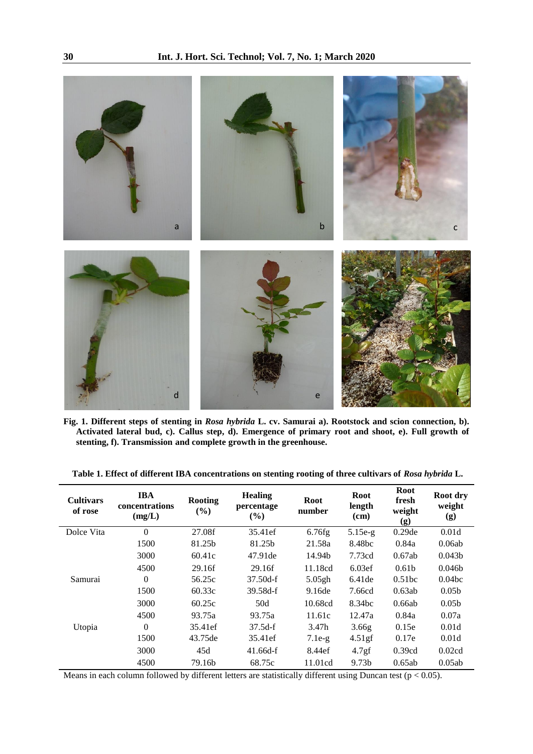

**Fig. 1. Different steps of stenting in** *Rosa hybrida* **L. cv. Samurai a). Rootstock and scion connection, b). Activated lateral bud, c). Callus step, d). Emergence of primary root and shoot, e). Full growth of stenting, f). Transmission and complete growth in the greenhouse.** 

| <b>Cultivars</b><br>of rose | <b>IBA</b><br>concentrations<br>(mg/L) | <b>Rooting</b><br>(%) | <b>Healing</b><br>percentage<br>$(\%)$ | <b>Root</b><br>number | Root<br>length<br>(cm) | <b>Root</b><br>fresh<br>weight<br>(g) | Root dry<br>weight<br>(g) |
|-----------------------------|----------------------------------------|-----------------------|----------------------------------------|-----------------------|------------------------|---------------------------------------|---------------------------|
| Dolce Vita                  | $\theta$                               | 27.08f                | 35.41ef                                | 6.76fg                | $5.15e-g$              | $0.29$ de                             | 0.01d                     |
|                             | 1500                                   | 81.25b                | 81.25b                                 | 21.58a                | 8.48bc                 | 0.84a                                 | 0.06ab                    |
|                             | 3000                                   | 60.41c                | 47.91 de                               | 14.94b                | 7.73cd                 | 0.67ab                                | 0.043 <sub>b</sub>        |
|                             | 4500                                   | 29.16f                | 29.16f                                 | 11.18cd               | 6.03ef                 | 0.61 <sub>b</sub>                     | 0.046 <sub>b</sub>        |
| Samurai                     | $\theta$                               | 56.25c                | $37.50d-f$                             | 5.05gh                | 6.41de                 | 0.51bc                                | 0.04 <sub>bc</sub>        |
|                             | 1500                                   | 60.33c                | 39.58d-f                               | 9.16de                | 7.66cd                 | 0.63ab                                | 0.05 <sub>b</sub>         |
|                             | 3000                                   | 60.25c                | 50d                                    | 10.68cd               | 8.34 <sub>bc</sub>     | 0.66ab                                | 0.05 <sub>b</sub>         |
|                             | 4500                                   | 93.75a                | 93.75a                                 | 11.61c                | 12.47a                 | 0.84a                                 | 0.07a                     |
| Utopia                      | $\theta$                               | 35.41ef               | $37.5d-f$                              | 3.47h                 | 3.66g                  | 0.15e                                 | 0.01d                     |
|                             | 1500                                   | 43.75de               | 35.41ef                                | $7.1e-g$              | 4.51gf                 | 0.17e                                 | 0.01d                     |
|                             | 3000                                   | 45d                   | $41.66d-f$                             | 8.44ef                | 4.7gf                  | 0.39cd                                | 0.02cd                    |
|                             | 4500                                   | 79.16b                | 68.75c                                 | 11.01cd               | 9.73b                  | 0.65ab                                | 0.05ab                    |

**Table 1. Effect of different IBA concentrations on stenting rooting of three cultivars of** *Rosa hybrida* **L.**

Means in each column followed by different letters are statistically different using Duncan test ( $p < 0.05$ ).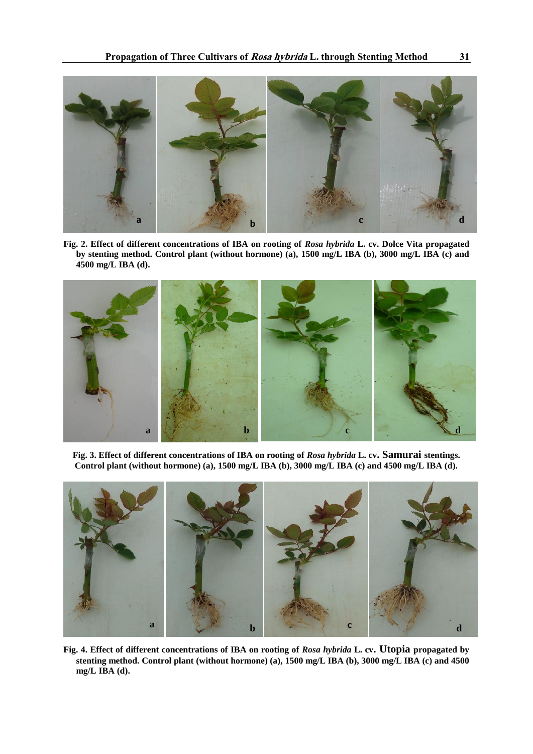

**Fig. 2. Effect of different concentrations of IBA on rooting of** *Rosa hybrida* **L. cv. Dolce Vita propagated by stenting method. Control plant (without hormone) (a), 1500 mg/L IBA (b), 3000 mg/L IBA (c) and 4500 mg/L IBA (d).**



**Fig. 3. Effect of different concentrations of IBA on rooting of** *Rosa hybrida* **L. cv. Samurai stentings. Control plant (without hormone) (a), 1500 mg/L IBA (b), 3000 mg/L IBA (c) and 4500 mg/L IBA (d).**



**Fig. 4. Effect of different concentrations of IBA on rooting of** *Rosa hybrida* **L. cv. Utopia propagated by stenting method. Control plant (without hormone) (a), 1500 mg/L IBA (b), 3000 mg/L IBA (c) and 4500 mg/L IBA (d).**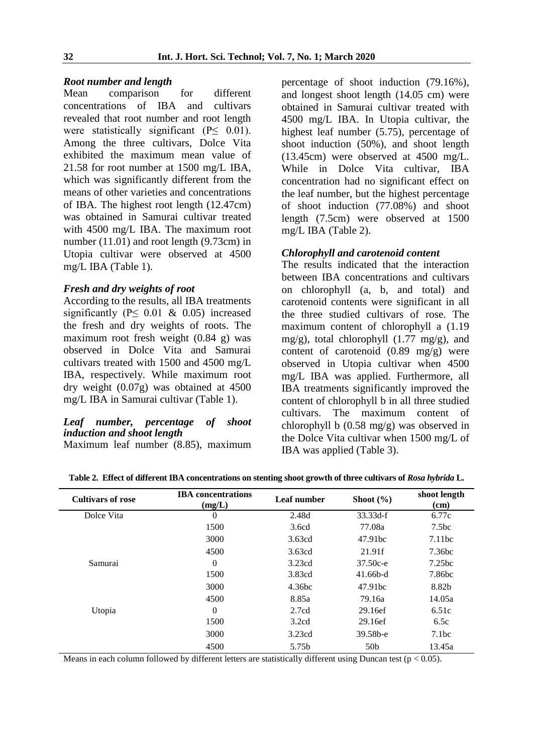# *Root number and length*

comparison for different concentrations of IBA and cultivars revealed that root number and root length were statistically significant ( $P \leq 0.01$ ). Among the three cultivars, Dolce Vita exhibited the maximum mean value of 21.58 for root number at 1500 mg/L IBA, which was significantly different from the means of other varieties and concentrations of IBA. The highest root length (12.47cm) was obtained in Samurai cultivar treated with 4500 mg/L IBA. The maximum root number (11.01) and root length (9.73cm) in Utopia cultivar were observed at 4500 mg/L IBA (Table 1).

#### *Fresh and dry weights of root*

According to the results, all IBA treatments significantly ( $P \leq 0.01 \& 0.05$ ) increased the fresh and dry weights of roots. The maximum root fresh weight (0.84 g) was observed in Dolce Vita and Samurai cultivars treated with 1500 and 4500 mg/L IBA, respectively. While maximum root dry weight (0.07g) was obtained at 4500 mg/L IBA in Samurai cultivar (Table 1).

# *Leaf number, percentage of shoot induction and shoot length*

Maximum leaf number (8.85), maximum

percentage of shoot induction (79.16%), and longest shoot length (14.05 cm) were obtained in Samurai cultivar treated with 4500 mg/L IBA. In Utopia cultivar, the highest leaf number (5.75), percentage of shoot induction (50%), and shoot length (13.45cm) were observed at 4500 mg/L. While in Dolce Vita cultivar, IBA concentration had no significant effect on the leaf number, but the highest percentage of shoot induction (77.08%) and shoot length (7.5cm) were observed at 1500 mg/L IBA (Table 2).

# *Chlorophyll and carotenoid content*

The results indicated that the interaction between IBA concentrations and cultivars on chlorophyll (a, b, and total) and carotenoid contents were significant in all the three studied cultivars of rose. The maximum content of chlorophyll a (1.19 mg/g), total chlorophyll  $(1.77 \text{ mg/g})$ , and content of carotenoid (0.89 mg/g) were observed in Utopia cultivar when 4500 mg/L IBA was applied. Furthermore, all IBA treatments significantly improved the content of chlorophyll b in all three studied cultivars. The maximum content of chlorophyll b (0.58 mg/g) was observed in the Dolce Vita cultivar when 1500 mg/L of IBA was applied (Table 3).

| <b>Cultivars of rose</b> | <b>IBA</b> concentrations<br>(mg/L) | Leaf number | Shoot $(\% )$   | shoot length<br>(cm) |
|--------------------------|-------------------------------------|-------------|-----------------|----------------------|
| Dolce Vita               | $\Omega$                            | 2.48d       | $33.33d-f$      | 6.77c                |
|                          | 1500                                | 3.6cd       | 77.08a          | 7.5 <sub>bc</sub>    |
|                          | 3000                                | 3.63cd      | 47.91bc         | 7.11bc               |
|                          | 4500                                | 3.63cd      | 21.91f          | 7.36 <sub>bc</sub>   |
| Samurai                  | $\theta$                            | 3.23cd      | 37.50c-e        | 7.25 <sub>bc</sub>   |
|                          | 1500                                | 3.83cd      | $41.66b-d$      | 7.86bc               |
|                          | 3000                                | 4.36bc      | 47.91bc         | 8.82b                |
|                          | 4500                                | 8.85a       | 79.16a          | 14.05a               |
| Utopia                   | $\Omega$                            | 2.7cd       | 29.16ef         | 6.51c                |
|                          | 1500                                | 3.2cd       | 29.16ef         | 6.5c                 |
|                          | 3000                                | 3.23cd      | 39.58b-e        | 7.1bc                |
|                          | 4500                                | 5.75b       | 50 <sub>b</sub> | 13.45a               |

**Table 2. Effect of different IBA concentrations on stenting shoot growth of three cultivars of** *Rosa hybrida* **L.**

Means in each column followed by different letters are statistically different using Duncan test ( $p < 0.05$ ).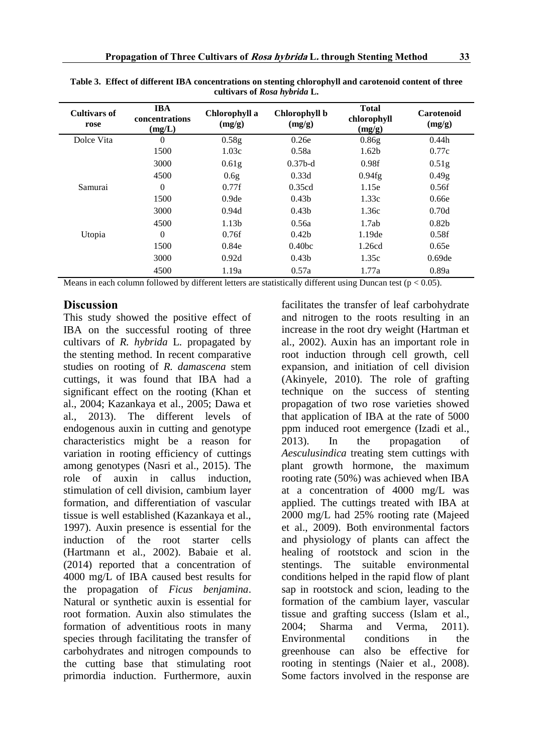| <b>Cultivars of</b><br>rose | <b>IBA</b><br>concentrations<br>(mg/L) | Chlorophyll a<br>(mg/g) | Chlorophyll b<br>(mg/g) | <b>Total</b><br>chlorophyll<br>(mg/g) | Carotenoid<br>(mg/g) |
|-----------------------------|----------------------------------------|-------------------------|-------------------------|---------------------------------------|----------------------|
| Dolce Vita                  | $\theta$                               | 0.58 <sub>g</sub>       | 0.26e                   | 0.86g                                 | 0.44h                |
|                             | 1500                                   | 1.03c                   | 0.58a                   | 1.62 <sub>b</sub>                     | 0.77c                |
|                             | 3000                                   | 0.61 <sub>g</sub>       | $0.37b-d$               | 0.98f                                 | 0.51 <sub>g</sub>    |
|                             | 4500                                   | 0.6g                    | 0.33d                   | 0.94fg                                | 0.49 <sub>g</sub>    |
| Samurai                     | $\overline{0}$                         | 0.77f                   | 0.35cd                  | 1.15e                                 | 0.56f                |
|                             | 1500                                   | 0.9 <sub>de</sub>       | 0.43 <sub>b</sub>       | 1.33c                                 | 0.66e                |
|                             | 3000                                   | 0.94d                   | 0.43 <sub>b</sub>       | 1.36c                                 | 0.70d                |
|                             | 4500                                   | 1.13b                   | 0.56a                   | 1.7ab                                 | 0.82 <sub>b</sub>    |
| Utopia                      | $\overline{0}$                         | 0.76f                   | 0.42 <sub>b</sub>       | 1.19de                                | 0.58f                |
|                             | 1500                                   | 0.84e                   | 0.40 <sub>bc</sub>      | 1.26cd                                | 0.65e                |
|                             | 3000                                   | 0.92d                   | 0.43 <sub>b</sub>       | 1.35c                                 | $0.69$ de            |
|                             | 4500                                   | 1.19a                   | 0.57a                   | 1.77a                                 | 0.89a                |

**Table 3. Effect of different IBA concentrations on stenting chlorophyll and carotenoid content of three cultivars of** *Rosa hybrida* **L.** 

Means in each column followed by different letters are statistically different using Duncan test ( $p < 0.05$ ).

#### **Discussion**

This study showed the positive effect of IBA on the successful rooting of three cultivars of *R. hybrida* L*.* propagated by the stenting method. In recent comparative studies on rooting of *R. damascena* stem cuttings, it was found that IBA had a significant effect on the rooting (Khan et al., 2004; Kazankaya et al., 2005; Dawa et al., 2013). The different levels of endogenous auxin in cutting and genotype characteristics might be a reason for variation in rooting efficiency of cuttings among genotypes (Nasri et al., 2015). The role of auxin in callus induction, stimulation of cell division, cambium layer formation, and differentiation of vascular tissue is well established (Kazankaya et al., 1997). Auxin presence is essential for the induction of the root starter cells (Hartmann et al., 2002). Babaie et al. (2014) reported that a concentration of 4000 mg/L of IBA caused best results for the propagation of *Ficus benjamina*. Natural or synthetic auxin is essential for root formation. Auxin also stimulates the formation of adventitious roots in many species through facilitating the transfer of carbohydrates and nitrogen compounds to the cutting base that stimulating root primordia induction. Furthermore, auxin

facilitates the transfer of leaf carbohydrate and nitrogen to the roots resulting in an increase in the root dry weight (Hartman et al., 2002). Auxin has an important role in root induction through cell growth, cell expansion, and initiation of cell division (Akinyele, 2010). The role of grafting technique on the success of stenting propagation of two rose varieties showed that application of IBA at the rate of 5000 ppm induced root emergence (Izadi et al., 2013). In the propagation of *Aesculusindica* treating stem cuttings with plant growth hormone, the maximum rooting rate (50%) was achieved when IBA at a concentration of 4000 mg/L was applied. The cuttings treated with IBA at 2000 mg/L had 25% rooting rate (Majeed et al., 2009). Both environmental factors and physiology of plants can affect the healing of rootstock and scion in the stentings. The suitable environmental conditions helped in the rapid flow of plant sap in rootstock and scion, leading to the formation of the cambium layer, vascular tissue and grafting success (Islam et al., 2004; Sharma and Verma, 2011). Environmental conditions in the greenhouse can also be effective for rooting in stentings (Naier et al., 2008). Some factors involved in the response are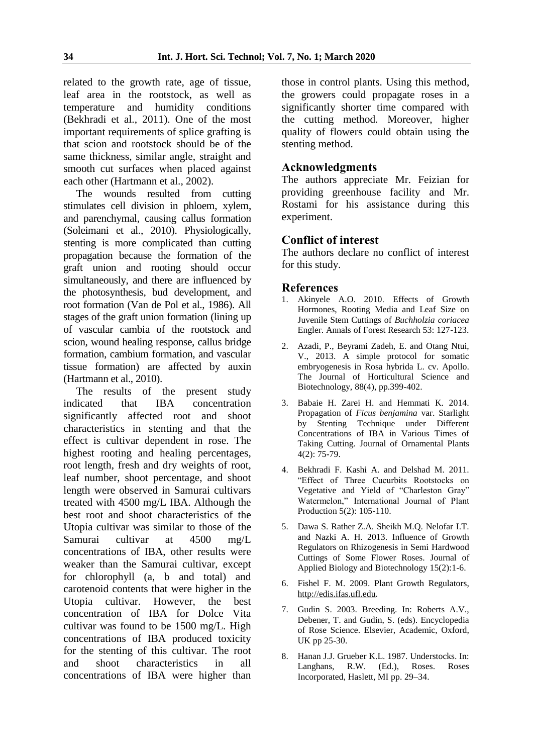related to the growth rate, age of tissue, leaf area in the rootstock, as well as temperature and humidity conditions (Bekhradi et al., 2011). One of the most important requirements of splice grafting is that scion and rootstock should be of the same thickness, similar angle, straight and smooth cut surfaces when placed against each other (Hartmann et al., 2002).

The wounds resulted from cutting stimulates cell division in phloem, xylem, and parenchymal, causing callus formation (Soleimani et al., 2010). Physiologically, stenting is more complicated than cutting propagation because the formation of the graft union and rooting should occur simultaneously, and there are influenced by the photosynthesis, bud development, and root formation (Van de Pol et al., 1986). All stages of the graft union formation (lining up of vascular cambia of the rootstock and scion, wound healing response, callus bridge formation, cambium formation, and vascular tissue formation) are affected by auxin (Hartmann et al., 2010).

The results of the present study indicated that IBA concentration significantly affected root and shoot characteristics in stenting and that the effect is cultivar dependent in rose. The highest rooting and healing percentages, root length, fresh and dry weights of root, leaf number, shoot percentage, and shoot length were observed in Samurai cultivars treated with 4500 mg/L IBA. Although the best root and shoot characteristics of the Utopia cultivar was similar to those of the Samurai cultivar at 4500 mg/L concentrations of IBA, other results were weaker than the Samurai cultivar, except for chlorophyll (a, b and total) and carotenoid contents that were higher in the Utopia cultivar. However, the best concentration of IBA for Dolce Vita cultivar was found to be 1500 mg/L. High concentrations of IBA produced toxicity for the stenting of this cultivar. The root and shoot characteristics in all concentrations of IBA were higher than

those in control plants. Using this method, the growers could propagate roses in a significantly shorter time compared with the cutting method. Moreover, higher quality of flowers could obtain using the stenting method.

# **Acknowledgments**

The authors appreciate Mr. Feizian for providing greenhouse facility and Mr. Rostami for his assistance during this experiment.

# **Conflict of interest**

The authors declare no conflict of interest for this study.

#### **References**

- Akinyele A.O. 2010. Effects of Growth Hormones, Rooting Media and Leaf Size on Juvenile Stem Cuttings of *Buchholzia coriacea* Engler. Annals of Forest Research 53: 127-123.
- 2. Azadi, P., Beyrami Zadeh, E. and Otang Ntui, V., 2013. A simple protocol for somatic embryogenesis in Rosa hybrida L. cv. Apollo. The Journal of Horticultural Science and Biotechnology, 88(4), pp.399-402.
- 3. Babaie H. Zarei H. and Hemmati K. 2014. Propagation of *Ficus benjamina* var. Starlight by Stenting Technique under Different Concentrations of IBA in Various Times of Taking Cutting. Journal of Ornamental Plants 4(2): 75-79.
- 4. Bekhradi F. Kashi A. and Delshad M. 2011. "Effect of Three Cucurbits Rootstocks on Vegetative and Yield of "Charleston Gray" Watermelon," International Journal of Plant Production 5(2): 105-110.
- 5. Dawa S. Rather Z.A. Sheikh M.Q. Nelofar I.T. and Nazki A. H. 2013. Influence of Growth Regulators on Rhizogenesis in Semi Hardwood Cuttings of Some Flower Roses. Journal of Applied Biology and Biotechnology 15(2):1-6.
- 6. Fishel F. M. 2009. Plant Growth Regulators, http://edis.ifas.ufl.edu.
- 7. Gudin S. 2003. Breeding. In: Roberts A.V., Debener, T. and Gudin, S. (eds). Encyclopedia of Rose Science. Elsevier, Academic, Oxford, UK pp 25-30.
- 8. Hanan J.J. Grueber K.L. 1987. Understocks. In: Langhans, R.W. (Ed.), Roses. Roses Incorporated, Haslett, MI pp. 29–34.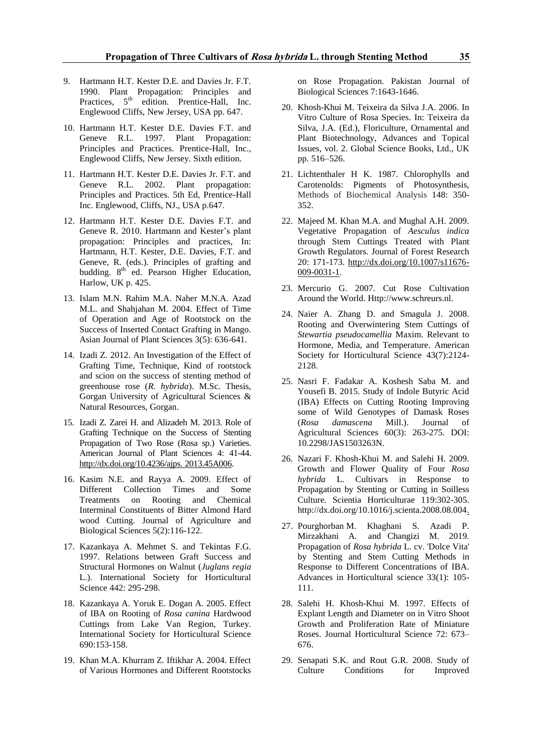- 9. Hartmann H.T. Kester D.E. and Davies Jr. F.T. 1990. Plant Propagation: Principles and Practices,  $5<sup>th</sup>$  edition. Prentice-Hall, Inc. Englewood Cliffs, New Jersey, USA pp. 647.
- 10. Hartmann H.T. Kester D.E. Davies F.T. and Geneve R.L. 1997. Plant Propagation: Principles and Practices. Prentice-Hall, Inc., Englewood Cliffs, New Jersey. Sixth edition.
- 11. Hartmann H.T. Kester D.E. Davies Jr. F.T. and Geneve R.L. 2002. Plant propagation: Principles and Practices. 5th Ed, Prentice-Hall Inc. Englewood, Cliffs, NJ., USA p.647.
- 12. Hartmann H.T. Kester D.E. Davies F.T. and Geneve R. 2010. Hartmann and Kester's plant propagation: Principles and practices, In: Hartmann, H.T. Kester, D.E. Davies, F.T. and Geneve, R. (eds.). Principles of grafting and budding. 8<sup>th</sup> ed. Pearson Higher Education, Harlow, UK p. 425.
- 13. Islam M.N. Rahim M.A. Naher M.N.A. Azad M.L. and Shahjahan M. 2004. Effect of Time of Operation and Age of Rootstock on the Success of Inserted Contact Grafting in Mango. Asian Journal of Plant Sciences 3(5): 636-641.
- 14. Izadi Z. 2012. An Investigation of the Effect of Grafting Time, Technique, Kind of rootstock and scion on the success of stenting method of greenhouse rose (*R. hybrida*). M.Sc. Thesis, Gorgan University of Agricultural Sciences & Natural Resources, Gorgan.
- 15. Izadi Z. Zarei H. and Alizadeh M. 2013. Role of Grafting Technique on the Success of Stenting Propagation of Two Rose (Rosa sp.) Varieties. American Journal of Plant Sciences 4: 41-44. http://dx.doi.org/10.4236/ajps. 2013.45A006.
- 16. Kasim N.E. and Rayya A. 2009. Effect of Different Collection Times and Some Treatments on Rooting and Chemical Interminal Constituents of Bitter Almond Hard wood Cutting. Journal of Agriculture and Biological Sciences 5(2):116-122.
- 17. Kazankaya A. Mehmet S. and Tekintas F.G. 1997. Relations between Graft Success and Structural Hormones on Walnut (*Juglans regia* L.). International Society for Horticultural Science 442: 295-298.
- 18. Kazankaya A. Yoruk E. Dogan A. 2005. Effect of IBA on Rooting of *Rosa canina* Hardwood Cuttings from Lake Van Region, Turkey. International Society for Horticultural Science 690:153-158.
- 19. Khan M.A. Khurram Z. Iftikhar A. 2004. Effect of Various Hormones and Different Rootstocks

on Rose Propagation. Pakistan Journal of Biological Sciences 7:1643-1646.

- 20. Khosh-Khui M. Teixeira da Silva J.A. 2006. In Vitro Culture of Rosa Species. In: Teixeira da Silva, J.A. (Ed.), Floriculture, Ornamental and Plant Biotechnology, Advances and Topical Issues, vol. 2. Global Science Books, Ltd., UK pp. 516–526.
- 21. Lichtenthaler H K. 1987. Chlorophylls and Carotenolds: Pigments of Photosynthesis, Methods of Biochemical Analysis 148: 350- 352.
- 22. Majeed M. Khan M.A. and Mughal A.H. 2009. Vegetative Propagation of *Aesculus indica* through Stem Cuttings Treated with Plant Growth Regulators. Journal of Forest Research 20: 171-173. http://dx.doi.org/10.1007/s11676- 009-0031-1.
- 23. Mercurio G. 2007. Cut Rose Cultivation Around the World. Http://www.schreurs.nl.
- 24. Naier A. Zhang D. and Smagula J. 2008. Rooting and Overwintering Stem Cuttings of *Stewartia pseudocamellia* Maxim. Relevant to Hormone, Media, and Temperature. American Society for Horticultural Science 43(7):2124- 2128.
- 25. Nasri F. Fadakar A. Koshesh Saba M. and Yousefi B. 2015. Study of Indole Butyric Acid (IBA) Effects on Cutting Rooting Improving some of Wild Genotypes of Damask Roses (*Rosa damascena* Mill.). Journal of Agricultural Sciences 60(3): 263-275. DOI: 10.2298/JAS1503263N.
- 26. Nazari F. Khosh-Khui M. and Salehi H. 2009. Growth and Flower Quality of Four *Rosa hybrida* L. Cultivars in Response to Propagation by Stenting or Cutting in Soilless Culture. Scientia Horticulturae 119:302-305. http://dx.doi.org/10.1016/j.scienta.2008.08.004.
- 27. Pourghorban M. Khaghani S. Azadi P. Mirzakhani A. and Changizi M. 2019. Propagation of *Rosa hybrida* L. cv. 'Dolce Vita' by Stenting and Stem Cutting Methods in Response to Different Concentrations of IBA. Advances in Horticultural science 33(1): 105- 111.
- 28. Salehi H. Khosh-Khui M. 1997. Effects of Explant Length and Diameter on in Vitro Shoot Growth and Proliferation Rate of Miniature Roses. Journal Horticultural Science 72: 673– 676.
- 29. Senapati S.K. and Rout G.R. 2008. Study of Culture Conditions for Improved